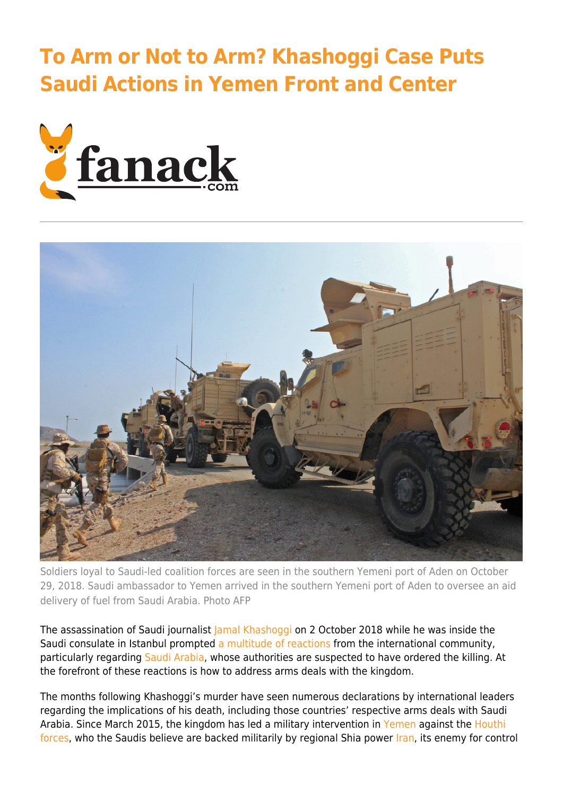## **[To Arm or Not to Arm? Khashoggi Case Puts](https://fanack.com/international-affairs/arm-or-not-to-arm-saudi-arabia/) [Saudi Actions in Yemen Front and Center](https://fanack.com/international-affairs/arm-or-not-to-arm-saudi-arabia/)**





Soldiers loyal to Saudi-led coalition forces are seen in the southern Yemeni port of Aden on October 29, 2018. Saudi ambassador to Yemen arrived in the southern Yemeni port of Aden to oversee an aid delivery of fuel from Saudi Arabia. Photo AFP

The assassination of Saudi journalist [Jamal Khashoggi](https://fanack.com/saudi-arabia/human-rights/alleged-murder-of-washington-post-journalist-reignites-human-rights-debate/) on 2 October 2018 while he was inside the Saudi consulate in Istanbul prompted [a multitude of reactions](https://www.aljazeera.com/news/2018/10/world-reacts-saudi-confirmation-jamal-khashoggi-killing-181020001510254.html) from the international community, particularly regarding [Saudi Arabia,](https://fanack.com/saudi-arabia/) whose authorities are suspected to have ordered the killing. At the forefront of these reactions is how to address arms deals with the kingdom.

The months following Khashoggi's murder have seen numerous declarations by international leaders regarding the implications of his death, including those countries' respective arms deals with Saudi Arabia. Since March 2015, the kingdom has led a military intervention in [Yemen](https://fanack.com/yemen/history-past-to-present/war-in-yemen/yemen-a-humanitarian-disaster/) against the [Houthi](https://fanack.com/yemen/history-past-to-present/yemen-just-more-troubled-times/) [forces,](https://fanack.com/yemen/history-past-to-present/yemen-just-more-troubled-times/) who the Saudis believe are backed militarily by regional Shia power [Iran](https://fanack.com/saudi-arabia/history-past-to-present/iran-and-saudi-arabia-the-rivalry-explained/), its enemy for control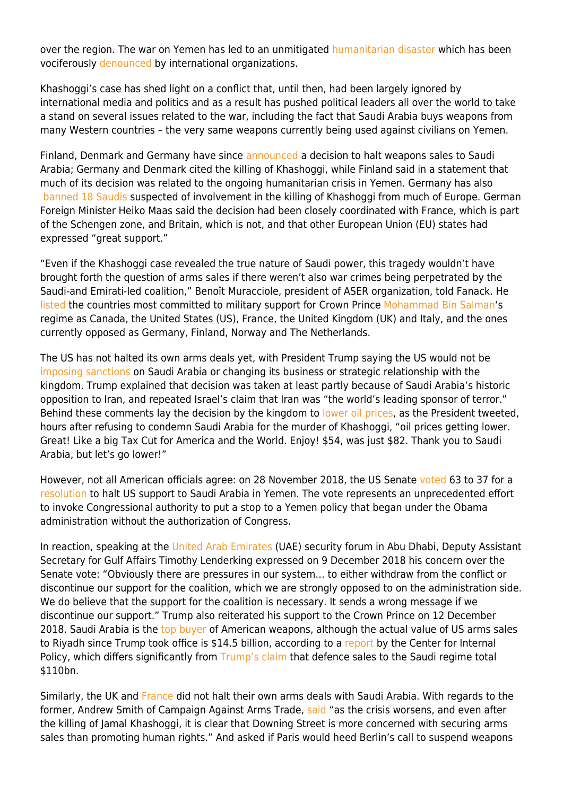over the region. The war on Yemen has led to an unmitigated [humanitarian disaster](https://fanack.com/yemen/history-past-to-present/war-in-yemen/yemen-worlds-biggest-humanitarian-disaster/) which has been vociferously [denounced](https://www.aljazeera.com/news/2018/09/yemen-undeniably-world-worst-humanitarian-crisis-wfp-180928051150315.html) by international organizations.

Khashoggi's case has shed light on a conflict that, until then, had been largely ignored by international media and politics and as a result has pushed political leaders all over the world to take a stand on several issues related to the war, including the fact that Saudi Arabia buys weapons from many Western countries – the very same weapons currently being used against civilians on Yemen.

Finland, Denmark and Germany have since [announced](https://eu.usatoday.com/story/news/world/2018/11/24/jamal-khashoggi-finland-denmark-germany-arms-sales/2101874002/) a decision to halt weapons sales to Saudi Arabia; Germany and Denmark cited the killing of Khashoggi, while Finland said in a statement that much of its decision was related to the ongoing humanitarian crisis in Yemen. Germany has also  [banned 18 Saudis](https://globalnews.ca/news/4680519/germany-saudi-arabia-arms-sales-khashoggi/) suspected of involvement in the killing of Khashoggi from much of Europe. German Foreign Minister Heiko Maas said the decision had been closely coordinated with France, which is part of the Schengen zone, and Britain, which is not, and that other European Union (EU) states had expressed "great support."

"Even if the Khashoggi case revealed the true nature of Saudi power, this tragedy wouldn't have brought forth the question of arms sales if there weren't also war crimes being perpetrated by the Saudi-and Emirati-led coalition," Benoît Muracciole, president of ASER organization, told Fanack. He [listed](https://edition.cnn.com/2018/11/22/middleeast/arms-exports-saudi-arabia-intl/index.html) the countries most committed to military support for Crown Prince [Mohammad Bin Salman'](https://fanack.com/saudi-arabia/faces/prince-muhammad-bin-salman-saudi-arabia/)s regime as Canada, the United States (US), France, the United Kingdom (UK) and Italy, and the ones currently opposed as Germany, Finland, Norway and The Netherlands.

The US has not halted its own arms deals yet, with President Trump saying the US would not be [imposing sanctions](https://www.independent.co.uk/news/world/europe/khashoggi-murder-denmark-saudi-arabia-arms-exports-yemen-civil-war-anders-samuelsen-a8646031.html) on Saudi Arabia or changing its business or strategic relationship with the kingdom. Trump explained that decision was taken at least partly because of Saudi Arabia's historic opposition to Iran, and repeated Israel's claim that Iran was "the world's leading sponsor of terror." Behind these comments lay the decision by the kingdom to [lower oil prices,](https://www.independent.co.uk/news/world/americas/us-politics/trump-jamal-khashoggi-murder-latest-saudi-arabia-oil-prices-lowered-twitter-a8644671.html) as the President tweeted, hours after refusing to condemn Saudi Arabia for the murder of Khashoggi, "oil prices getting lower. Great! Like a big Tax Cut for America and the World. Enjoy! \$54, was just \$82. Thank you to Saudi Arabia, but let's go lower!"

However, not all American officials agree: on 28 November 2018, the US Senate [voted](https://nordic.businessinsider.com/senate-votes-in-favor-of-ending-us-support-of-saudi-arabia-in-yemen-2018-11?r=US&IR=T) 63 to 37 for a [resolution](https://www.congress.gov/bill/115th-congress/senate-joint-resolution/54/text) to halt US support to Saudi Arabia in Yemen. The vote represents an unprecedented effort to invoke Congressional authority to put a stop to a Yemen policy that began under the Obama administration without the authorization of Congress.

In reaction, speaking at the [United Arab Emirates](https://fanack.com/united-arab-emirates/) (UAE) security forum in Abu Dhabi, Deputy Assistant Secretary for Gulf Affairs Timothy Lenderking expressed on 9 December 2018 his concern over the Senate vote: "Obviously there are pressures in our system… to either withdraw from the conflict or discontinue our support for the coalition, which we are strongly opposed to on the administration side. We do believe that the support for the coalition is necessary. It sends a wrong message if we discontinue our support." Trump also reiterated his support to the Crown Prince on 12 December 2018. Saudi Arabia is the [top buyer](https://www.cbsnews.com/news/saudi-arabia-is-the-top-buyer-of-u-s-weapons/) of American weapons, although the actual value of US arms sales to Riyadh since Trump took office is \$14.5 billion, according to a [report](https://fanack.com/wp-content/uploads/3ba8a1_5e9019d625e84087af647e6cb91ea3e2.pdf) by the Center for Internal Policy, which differs significantly from [Trump's claim](https://www.theguardian.com/world/2018/nov/20/donald-trump-saudi-arabia-arms-sales-jamal-khashoggi) that defence sales to the Saudi regime total \$110bn.

Similarly, the UK and [France](https://www.reuters.com/article/us-saudi-khashoggi-france/france-avoids-question-on-saudi-arabia-weapons-sales-idUSKCN1MW1TP) did not halt their own arms deals with Saudi Arabia. With regards to the former, Andrew Smith of Campaign Against Arms Trade, [said](https://www.theguardian.com/world/2018/nov/11/jamal-khashoggi-murder-britain-sells-arms-to-saudi-arabia) "as the crisis worsens, and even after the killing of Jamal Khashoggi, it is clear that Downing Street is more concerned with securing arms sales than promoting human rights." And asked if Paris would heed Berlin's call to suspend weapons